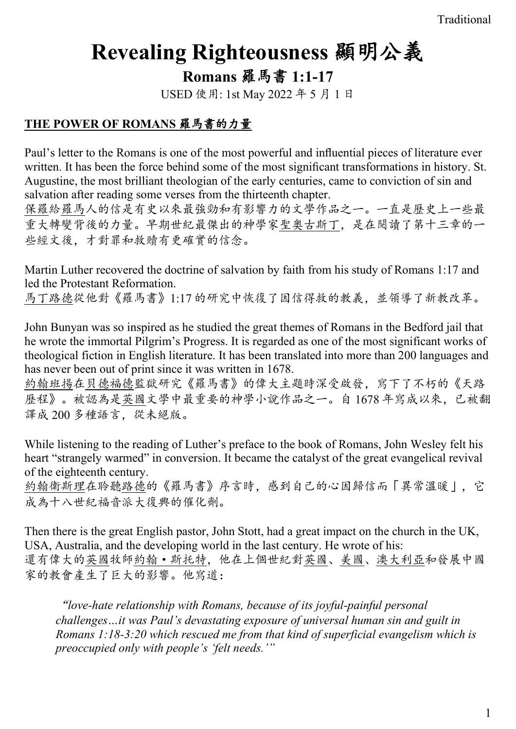# **Revealing Righteousness** 顯明公義 **Romans** 羅馬書 **1:1-17**

USED 使用: 1st May 2022 年 5 月 1 日

### **THE POWER OF ROMANS** 羅馬書的力量

Paul's letter to the Romans is one of the most powerful and influential pieces of literature ever written. It has been the force behind some of the most significant transformations in history. St. Augustine, the most brilliant theologian of the early centuries, came to conviction of sin and salvation after reading some verses from the thirteenth chapter.

保羅給羅馬人的信是有史以來最強勁和有影響力的文學作品之一。一直是歷史上一些最 重大轉變背後的力量。早期世紀最傑出的神學家聖奧古斯丁,是在閱讀了第十三章的一 些經文後,才對罪和救贖有更確實的信念。

Martin Luther recovered the doctrine of salvation by faith from his study of Romans 1:17 and led the Protestant Reformation.

馬丁路德從他對《羅馬書》1:17 的研究中恢復了因信得救的教義,並領導了新教改革。

John Bunyan was so inspired as he studied the great themes of Romans in the Bedford jail that he wrote the immortal Pilgrim's Progress. It is regarded as one of the most significant works of theological fiction in English literature. It has been translated into more than 200 languages and has never been out of print since it was written in 1678.

約翰班揚在貝德福德監獄研究《羅馬書》的偉大主題時深受啟發,寫下了不朽的《天路 歷程》。被認為是英國文學中最重要的神學小說作品之一。自 1678 年寫成以來,已被翻 譯成 200 多種語言,從未絕版。

While listening to the reading of Luther's preface to the book of Romans, John Wesley felt his heart "strangely warmed" in conversion. It became the catalyst of the great evangelical revival of the eighteenth century.

約翰衛斯理在聆聽路德的《羅馬書》序言時,感到自己的心因歸信而「異常溫暖」,它 成為十八世紀福音派大復興的催化劑。

Then there is the great English pastor, John Stott, had a great impact on the church in the UK, USA, Australia, and the developing world in the last century. He wrote of his: 還有偉大的英國牧師約翰·斯托特,他在上個世紀對英國、美國、澳大利亞和發展中國 家的教會產生了巨大的影響。他寫道:

"*love-hate relationship with Romans, because of its joyful-painful personal challenges…it was Paul's devastating exposure of universal human sin and guilt in Romans 1:18-3:20 which rescued me from that kind of superficial evangelism which is preoccupied only with people's 'felt needs.'"*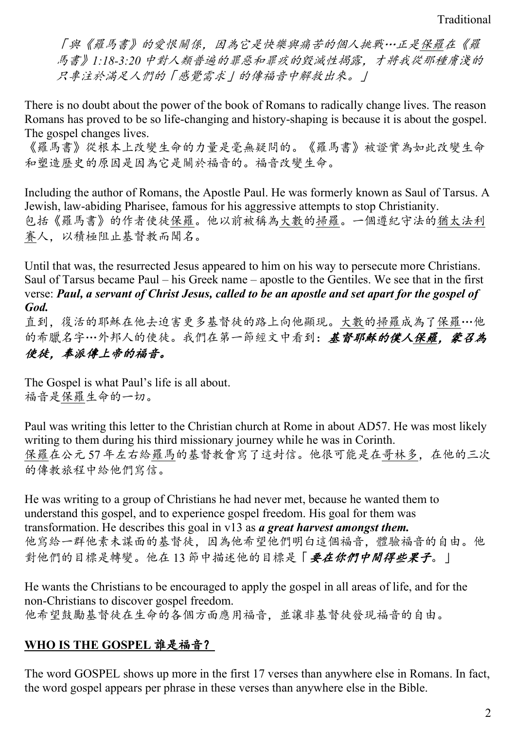「與《羅馬書》的愛恨關係,因為它是快樂與痛苦的個人挑戰…正是保羅在《羅 馬書》*1:18-3:20* 中對人類普遍的罪惡和罪疚的毀滅性揭露,才將我從那種膚淺的 只專注於滿足人們的「感覺需求」的傳福音中解救出來。」

There is no doubt about the power of the book of Romans to radically change lives. The reason Romans has proved to be so life-changing and history-shaping is because it is about the gospel. The gospel changes lives.

《羅馬書》從根本上改變生命的力量是毫無疑問的。《羅馬書》被證實為如此改變生命 和塑造歷史的原因是因為它是關於福音的。福音改變生命。

Including the author of Romans, the Apostle Paul. He was formerly known as Saul of Tarsus. A Jewish, law-abiding Pharisee, famous for his aggressive attempts to stop Christianity. 包括《羅馬書》的作者使徒保羅。他以前被稱為大數的掃羅。一個遵紀守法的猶太法利 賽人,以積極阻止基督教而聞名。

Until that was, the resurrected Jesus appeared to him on his way to persecute more Christians. Saul of Tarsus became Paul – his Greek name – apostle to the Gentiles. We see that in the first verse: *Paul, a servant of Christ Jesus, called to be an apostle and set apart for the gospel of God.*

直到,復活的耶穌在他去迫害更多基督徒的路上向他顯現。大數的掃羅成為了保羅…他 的希臘名字…外邦人的使徒。我們在第一節經文中看到:基督耶穌的僕人保羅,蒙召為 使徒,奉派傳上帝的福音。

#### The Gospel is what Paul's life is all about. 福音是保羅生命的一切。

Paul was writing this letter to the Christian church at Rome in about AD57. He was most likely writing to them during his third missionary journey while he was in Corinth. 保羅在公元 57 年左右給羅馬的基督教會寫了這封信。他很可能是在哥林多,在他的三次 的傳教旅程中給他們寫信。

He was writing to a group of Christians he had never met, because he wanted them to understand this gospel, and to experience gospel freedom. His goal for them was transformation. He describes this goal in v13 as *a great harvest amongst them.*  他寫給一群他素未謀面的基督徒,因為他希望他們明白這個福音,體驗福音的自由。他 對他們的目標是轉變。他在13節中描述他的目標是「要在你們中間得些果子。」

He wants the Christians to be encouraged to apply the gospel in all areas of life, and for the non-Christians to discover gospel freedom. 他希望鼓勵基督徒在生命的各個方面應用福音,並讓非基督徒發現福音的自由。

### **WHO IS THE GOSPEL** 誰是福音?

The word GOSPEL shows up more in the first 17 verses than anywhere else in Romans. In fact, the word gospel appears per phrase in these verses than anywhere else in the Bible.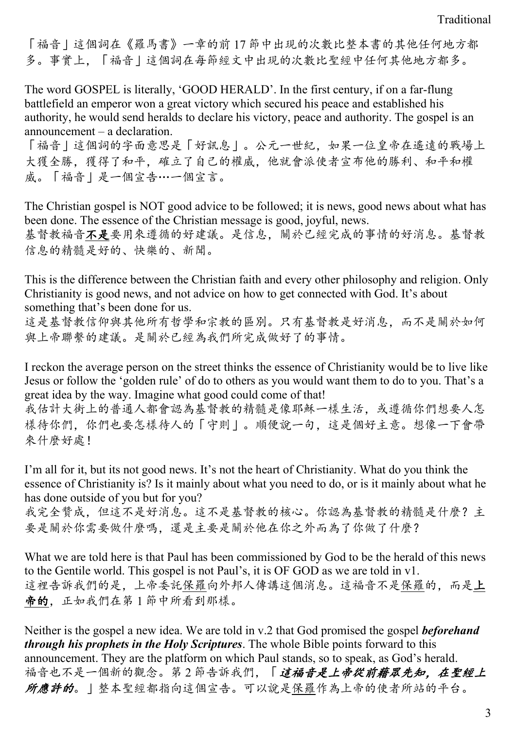「福音」這個詞在《羅馬書》一章的前 17 節中出現的次數比整本書的其他任何地方都 多。事實上,「福音」這個詞在每節經文中出現的次數比聖經中任何其他地方都多。

The word GOSPEL is literally, 'GOOD HERALD'. In the first century, if on a far-flung battlefield an emperor won a great victory which secured his peace and established his authority, he would send heralds to declare his victory, peace and authority. The gospel is an announcement – a declaration.

「福音」這個詞的字面意思是「好訊息」。公元一世紀,如果一位皇帝在遙遠的戰場上 大獲全勝,獲得了和平,確立了自己的權威,他就會派使者宣布他的勝利、和平和權 威。「福音」是一個宣告…一個宣言。

The Christian gospel is NOT good advice to be followed; it is news, good news about what has been done. The essence of the Christian message is good, joyful, news. 基督教福音不是要用來遵循的好建議。是信息,關於已經完成的事情的好消息。基督教 信息的精髓是好的、快樂的、新聞。

This is the difference between the Christian faith and every other philosophy and religion. Only Christianity is good news, and not advice on how to get connected with God. It's about something that's been done for us.

這是基督教信仰與其他所有哲學和宗教的區別。只有基督教是好消息,而不是關於如何 與上帝聯繫的建議。是關於已經為我們所完成做好了的事情。

I reckon the average person on the street thinks the essence of Christianity would be to live like Jesus or follow the 'golden rule' of do to others as you would want them to do to you. That's a great idea by the way. Imagine what good could come of that!

我估計大街上的普通人都會認為基督教的精髓是像耶穌一樣生活,或遵循你們想要人怎 樣待你們,你們也要怎樣待人的「守則」。順便說一句,這是個好主意。想像一下會帶 來什麼好處!

I'm all for it, but its not good news. It's not the heart of Christianity. What do you think the essence of Christianity is? Is it mainly about what you need to do, or is it mainly about what he has done outside of you but for you?

我完全贊成,但這不是好消息。這不是基督教的核心。你認為基督教的精髓是什麼?主 要是關於你需要做什麼嗎,還是主要是關於他在你之外而為了你做了什麼?

What we are told here is that Paul has been commissioned by God to be the herald of this news to the Gentile world. This gospel is not Paul's, it is OF GOD as we are told in v1. 這裡告訴我們的是,上帝委託保羅向外邦人傳講這個消息。這福音不是保羅的,而是上 帝的,正如我們在第 1 節中所看到那樣。

Neither is the gospel a new idea. We are told in v.2 that God promised the gospel *beforehand through his prophets in the Holy Scriptures*. The whole Bible points forward to this announcement. They are the platform on which Paul stands, so to speak, as God's herald. 福音也不是一個新的觀念。第2節告訴我們,「這福音是上帝從前藉眾先知,在聖經上 所應許的。」整本聖經都指向這個宣告。可以說是保羅作為上帝的使者所站的平台。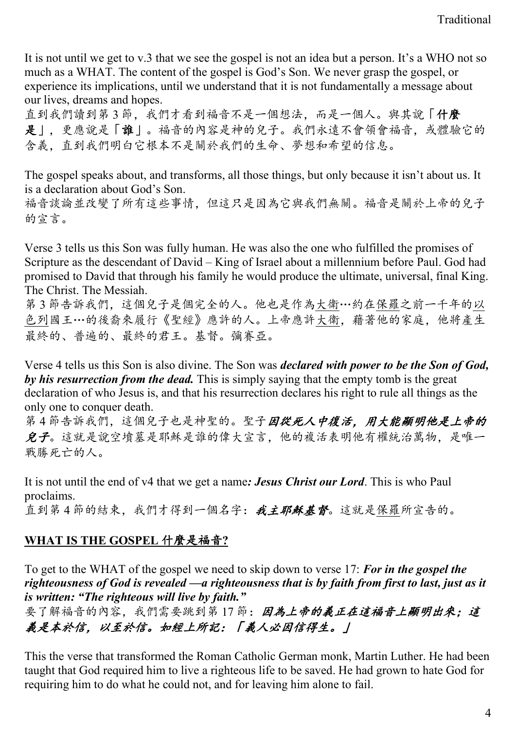It is not until we get to v.3 that we see the gospel is not an idea but a person. It's a WHO not so much as a WHAT. The content of the gospel is God's Son. We never grasp the gospel, or experience its implications, until we understand that it is not fundamentally a message about our lives, dreams and hopes.

直到我們讀到第3節,我們才看到福音不是一個想法,而是一個人。與其說「什麼 是」,更應說是「誰」。福音的內容是神的兒子。我們永遠不會領會福音,或體驗它的 含義,直到我們明白它根本不是關於我們的生命、夢想和希望的信息。

The gospel speaks about, and transforms, all those things, but only because it isn't about us. It is a declaration about God's Son.

福音談論並改變了所有這些事情,但這只是因為它與我們無關。福音是關於上帝的兒子 的宣言。

Verse 3 tells us this Son was fully human. He was also the one who fulfilled the promises of Scripture as the descendant of David – King of Israel about a millennium before Paul. God had promised to David that through his family he would produce the ultimate, universal, final King. The Christ. The Messiah.

第3節告訴我們,這個兒子是個完全的人。他也是作為大衛…約在保羅之前一千年的以 色列國王…的後裔來履行《聖經》應許的人。上帝應許大衛,藉著他的家庭,他將產生 最終的、普遍的、最終的君王。基督。彌賽亞。

Verse 4 tells us this Son is also divine. The Son was *declared with power to be the Son of God, by his resurrection from the dead.* This is simply saying that the empty tomb is the great declaration of who Jesus is, and that his resurrection declares his right to rule all things as the only one to conquer death.

第4節告訴我們,這個兒子也是神聖的。聖子因從死人中復活,用大能顯明他是上帝的 兒子。這就是說空墳墓是耶穌是誰的偉大宣言,他的複活表明他有權統治萬物,是唯一 戰勝死亡的人。

It is not until the end of v4 that we get a name*: Jesus Christ our Lord*. This is who Paul proclaims.

直到第4節的結束,我們才得到一個名字:我主耶穌基督。這就是保羅所宣告的。

## **WHAT IS THE GOSPEL** 什麼是福音**?**

To get to the WHAT of the gospel we need to skip down to verse 17: *For in the gospel the righteousness of God is revealed —a righteousness that is by faith from first to last, just as it is written: "The righteous will live by faith."*

要了解福音的內容,我們需要跳到第17節:因為上帝的義正在這福音上顯明出來;這 義是本於信,以至於信。如經上所記:「義人必因信得生。」

This the verse that transformed the Roman Catholic German monk, Martin Luther. He had been taught that God required him to live a righteous life to be saved. He had grown to hate God for requiring him to do what he could not, and for leaving him alone to fail.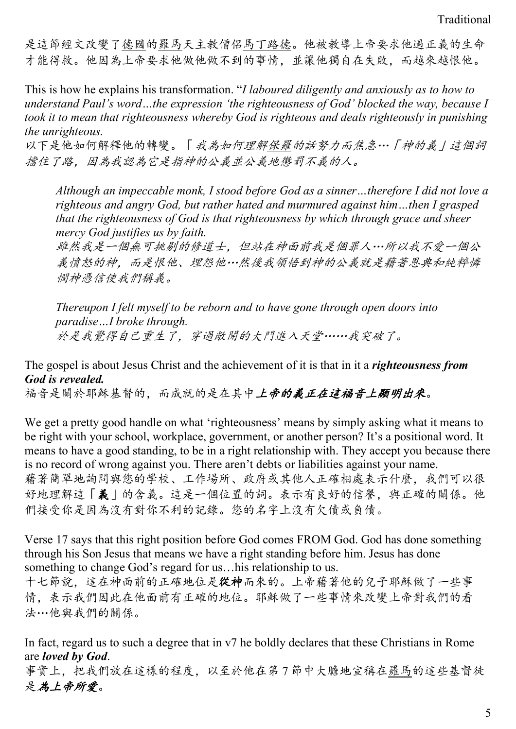是這節經文改變了德國的羅馬天主教僧侶馬丁路德。他被教導上帝要求他過正義的生命 才能得救。他因為上帝要求他做他做不到的事情,並讓他獨自在失敗,而越來越恨他。

This is how he explains his transformation. "*I laboured diligently and anxiously as to how to understand Paul's word…the expression 'the righteousness of God' blocked the way, because I took it to mean that righteousness whereby God is righteous and deals righteously in punishing the unrighteous.*

以下是他如何解釋他的轉變。「我為如何理解保羅的話努力而焦急…「神的義」這個詞 擋住了路,因為我認為它是指神的公義並公義地懲罰不義的人。

*Although an impeccable monk, I stood before God as a sinner…therefore I did not love a righteous and angry God, but rather hated and murmured against him…then I grasped that the righteousness of God is that righteousness by which through grace and sheer mercy God justifies us by faith.* 

雖然我是一個無可挑剔的修道士,但站在神面前我是個罪人…所以我不愛一個公 義憤怒的神,而是恨他、埋怨他…然後我領悟到神的公義就是藉著恩典和純粹憐 憫神憑信使我們稱義。

*Thereupon I felt myself to be reborn and to have gone through open doors into paradise…I broke through.*  於是我覺得自己重生了,穿過敞開的大門進入天堂……我突破了。

The gospel is about Jesus Christ and the achievement of it is that in it a *righteousness from God is revealed.*

福音是關於耶穌基督的,而成就的是在其中上帝的義正在這福音上顯明出來。

We get a pretty good handle on what 'righteousness' means by simply asking what it means to be right with your school, workplace, government, or another person? It's a positional word. It means to have a good standing, to be in a right relationship with. They accept you because there is no record of wrong against you. There aren't debts or liabilities against your name. 藉著簡單地詢問與您的學校、工作場所、政府或其他人正確相處表示什麼,我們可以很 好地理解這「義」的含義。這是一個位置的詞。表示有良好的信譽,與正確的關係。他 們接受你是因為沒有對你不利的記錄。您的名字上沒有欠債或負債。

Verse 17 says that this right position before God comes FROM God. God has done something through his Son Jesus that means we have a right standing before him. Jesus has done something to change God's regard for us…his relationship to us.

十七節說,這在神面前的正確地位是從神而來的。上帝藉著他的兒子耶穌做了一些事 情,表示我們因此在他面前有正確的地位。耶穌做了一些事情來改變上帝對我們的看 法…他與我們的關係。

In fact, regard us to such a degree that in v7 he boldly declares that these Christians in Rome are *loved by God*.

事實上,把我們放在這樣的程度,以至於他在第 7 節中大膽地宣稱在羅馬的這些基督徒 是為上帝所愛。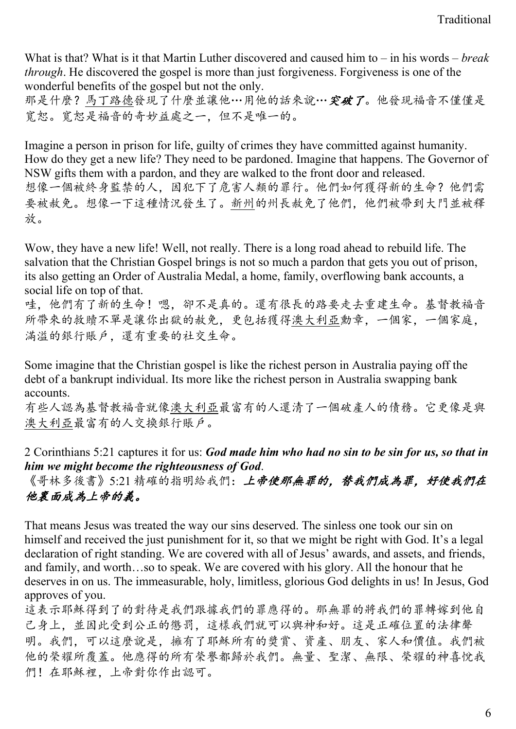What is that? What is it that Martin Luther discovered and caused him to – in his words – *break through*. He discovered the gospel is more than just forgiveness. Forgiveness is one of the wonderful benefits of the gospel but not the only.

那是什麼?馬丁路德發現了什麼並讓他…用他的話來說…突破了。他發現福音不僅僅是 寬恕。寬恕是福音的奇妙益處之一,但不是唯一的。

Imagine a person in prison for life, guilty of crimes they have committed against humanity. How do they get a new life? They need to be pardoned. Imagine that happens. The Governor of NSW gifts them with a pardon, and they are walked to the front door and released. 想像一個被終身監禁的人,因犯下了危害人類的罪行。他們如何獲得新的生命?他們需 要被赦免。想像一下這種情況發生了。新州的州長赦免了他們,他們被帶到大門並被釋 放。

Wow, they have a new life! Well, not really. There is a long road ahead to rebuild life. The salvation that the Christian Gospel brings is not so much a pardon that gets you out of prison, its also getting an Order of Australia Medal, a home, family, overflowing bank accounts, a social life on top of that.

哇,他們有了新的生命!嗯,卻不是真的。還有很長的路要走去重建生命。基督教福音 所帶來的救贖不單是讓你出獄的赦免,更包括獲得澳大利亞勳章,一個家,一個家庭, 滿溢的銀行賬戶,還有重要的社交生命。

Some imagine that the Christian gospel is like the richest person in Australia paying off the debt of a bankrupt individual. Its more like the richest person in Australia swapping bank accounts.

有些人認為基督教福音就像澳大利亞最富有的人還清了一個破產人的債務。它更像是與 澳大利亞最富有的人交換銀行賬戶。

2 Corinthians 5:21 captures it for us: *God made him who had no sin to be sin for us, so that in him we might become the righteousness of God*.

《哥林多後書》5:21 精確的指明給我們:上帝使那無罪的,替我們成為罪,好使我們在 他裏面成為上帝的義。

That means Jesus was treated the way our sins deserved. The sinless one took our sin on himself and received the just punishment for it, so that we might be right with God. It's a legal declaration of right standing. We are covered with all of Jesus' awards, and assets, and friends, and family, and worth…so to speak. We are covered with his glory. All the honour that he deserves in on us. The immeasurable, holy, limitless, glorious God delights in us! In Jesus, God approves of you.

這表示耶穌得到了的對待是我們跟據我們的罪應得的。那無罪的將我們的罪轉嫁到他自 己身上,並因此受到公正的懲罰,這樣我們就可以與神和好。這是正確位置的法律聲 明。我們,可以這麼說是,擁有了耶穌所有的獎賞、資產、朋友、家人和價值。我們被 他的榮耀所覆蓋。他應得的所有榮譽都歸於我們。無量、聖潔、無限、榮耀的神喜悅我 們!在耶穌裡,上帝對你作出認可。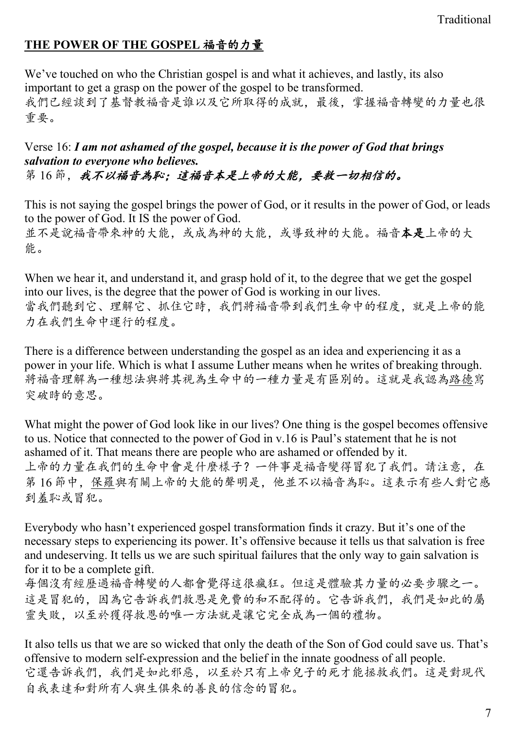## **THE POWER OF THE GOSPEL** 福音的力量

We've touched on who the Christian gospel is and what it achieves, and lastly, its also important to get a grasp on the power of the gospel to be transformed. 我們已經談到了基督教福音是誰以及它所取得的成就,最後,掌握福音轉變的力量也很 重要。

Verse 16: *I am not ashamed of the gospel, because it is the power of God that brings salvation to everyone who believes.* 第16節,我不以福音為恥;這福音本是上帝的大能,要救一切相信的。

This is not saying the gospel brings the power of God, or it results in the power of God, or leads to the power of God. It IS the power of God. 並不是說福音帶來神的大能,或成為神的大能,或導致神的大能。福音本是上帝的大 能。

When we hear it, and understand it, and grasp hold of it, to the degree that we get the gospel into our lives, is the degree that the power of God is working in our lives. 當我們聽到它、理解它、抓住它時,我們將福音帶到我們生命中的程度,就是上帝的能 力在我們生命中運行的程度。

There is a difference between understanding the gospel as an idea and experiencing it as a power in your life. Which is what I assume Luther means when he writes of breaking through. 將福音理解為一種想法與將其視為生命中的一種力量是有區別的。這就是我認為路德寫 突破時的意思。

What might the power of God look like in our lives? One thing is the gospel becomes offensive to us. Notice that connected to the power of God in v.16 is Paul's statement that he is not ashamed of it. That means there are people who are ashamed or offended by it. 上帝的力量在我們的生命中會是什麼樣子?一件事是福音變得冒犯了我們。請注意,在 第 16 節中,保羅與有關上帝的大能的聲明是,他並不以福音為恥。這表示有些人對它感 到羞恥或冒犯。

Everybody who hasn't experienced gospel transformation finds it crazy. But it's one of the necessary steps to experiencing its power. It's offensive because it tells us that salvation is free and undeserving. It tells us we are such spiritual failures that the only way to gain salvation is for it to be a complete gift.

每個沒有經歷過福音轉變的人都會覺得這很瘋狂。但這是體驗其力量的必要步驟之一。 這是冒犯的,因為它告訴我們救恩是免費的和不配得的。它告訴我們,我們是如此的屬 靈失敗,以至於獲得救恩的唯一方法就是讓它完全成為一個的禮物。

It also tells us that we are so wicked that only the death of the Son of God could save us. That's offensive to modern self-expression and the belief in the innate goodness of all people. 它還告訴我們,我們是如此邪惡,以至於只有上帝兒子的死才能拯救我們。這是對現代 自我表達和對所有人與生俱來的善良的信念的冒犯。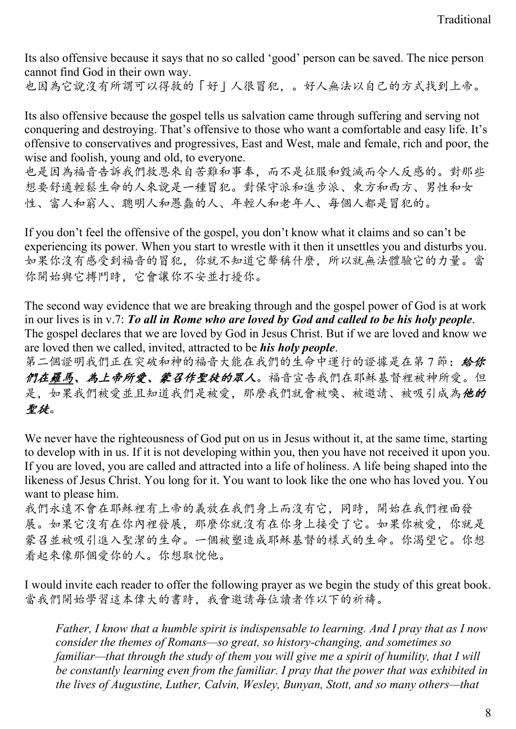Its also offensive because it says that no so called 'good' person can be saved. The nice person cannot find God in their own way.

也因為它說沒有所謂可以得救的「好」人很冒犯,。好人無法以自己的方式找到上帝。

Its also offensive because the gospel tells us salvation came through suffering and serving not conquering and destroying. That's offensive to those who want a comfortable and easy life. It's offensive to conservatives and progressives, East and West, male and female, rich and poor, the wise and foolish, young and old, to everyone.

也是因為福音告訴我們救恩來自苦難和事奉,而不是征服和毀滅而令人反感的。對那些 想要舒適輕鬆生命的人來說是一種冒犯。對保守派和進步派、東方和西方、男性和女 性、富人和窮人、聰明人和愚蠢的人、年輕人和老年人、每個人都是冒犯的。

If you don't feel the offensive of the gospel, you don't know what it claims and so can't be experiencing its power. When you start to wrestle with it then it unsettles you and disturbs you. 如果你沒有感受到福音的冒犯,你就不知道它聲稱什麼,所以就無法體驗它的力量。當 你開始與它搏鬥時,它會讓你不安並打擾你。

The second way evidence that we are breaking through and the gospel power of God is at work in our lives is in v.7: *To all in Rome who are loved by God and called to be his holy people*. The gospel declares that we are loved by God in Jesus Christ. But if we are loved and know we are loved then we called, invited, attracted to be *his holy people*. 第二個證明我們正在突破和神的福音大能在我們的生命中運行的證據是在第7節:給你

們在羅馬、為上帝所愛、蒙召作聖徒的眾人。福音宣告我們在耶穌基督裡被神所愛。但 是,如果我們被愛並且知道我們是被愛,那麼我們就會被喚、被邀請、被吸引成為他的 聖徒。

We never have the righteousness of God put on us in Jesus without it, at the same time, starting to develop with in us. If it is not developing within you, then you have not received it upon you. If you are loved, you are called and attracted into a life of holiness. A life being shaped into the likeness of Jesus Christ. You long for it. You want to look like the one who has loved you. You want to please him.

我們永遠不會在耶穌裡有上帝的義放在我們身上而沒有它,同時,開始在我們裡面發 展。如果它沒有在你內裡發展,那麼你就沒有在你身上接受了它。如果你被愛,你就是 蒙召並被吸引進入聖潔的生命。一個被塑造成耶穌基督的樣式的生命。你渴望它。你想 看起來像那個愛你的人。你想取悅他。

I would invite each reader to offer the following prayer as we begin the study of this great book. 當我們開始學習這本偉大的書時,我會邀請每位讀者作以下的祈禱。

*Father, I know that a humble spirit is indispensable to learning. And I pray that as I now consider the themes of Romans—so great, so history-changing, and sometimes so familiar—that through the study of them you will give me a spirit of humility, that I will be constantly learning even from the familiar. I pray that the power that was exhibited in the lives of Augustine, Luther, Calvin, Wesley, Bunyan, Stott, and so many others—that*